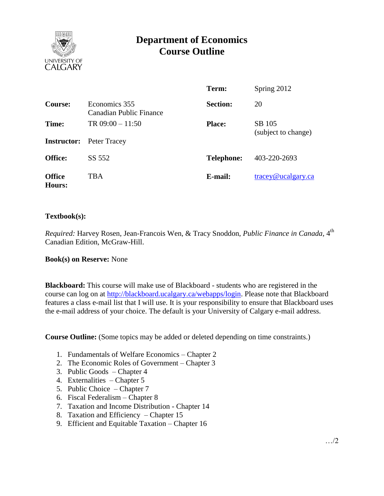

# **Department of Economics Course Outline**

|                                |                                          | Term:             | Spring 2012                   |
|--------------------------------|------------------------------------------|-------------------|-------------------------------|
| Course:                        | Economics 355<br>Canadian Public Finance | <b>Section:</b>   | 20                            |
| Time:                          | TR $09:00 - 11:50$                       | <b>Place:</b>     | SB 105<br>(subject to change) |
| <b>Instructor:</b>             | Peter Tracey                             |                   |                               |
| <b>Office:</b>                 | SS 552                                   | <b>Telephone:</b> | 403-220-2693                  |
| <b>Office</b><br><b>Hours:</b> | TBA                                      | E-mail:           | tracey@ucalgary.ca            |

### **Textbook(s):**

*Required:* Harvey Rosen, Jean-Francois Wen, & Tracy Snoddon, *Public Finance in Canada*, 4<sup>th</sup> Canadian Edition, McGraw-Hill.

#### **Book(s) on Reserve:** None

**Blackboard:** This course will make use of Blackboard - students who are registered in the course can log on at [http://blackboard.ucalgary.ca/webapps/login.](http://blackboard.ucalgary.ca/webapps/login) Please note that Blackboard features a class e-mail list that I will use. It is your responsibility to ensure that Blackboard uses the e-mail address of your choice. The default is your University of Calgary e-mail address.

**Course Outline:** (Some topics may be added or deleted depending on time constraints.)

- 1. Fundamentals of Welfare Economics Chapter 2
- 2. The Economic Roles of Government Chapter 3
- 3. Public Goods Chapter 4
- 4. Externalities Chapter 5
- 5. Public Choice Chapter 7
- 6. Fiscal Federalism Chapter 8
- 7. Taxation and Income Distribution Chapter 14
- 8. Taxation and Efficiency Chapter 15
- 9. Efficient and Equitable Taxation Chapter 16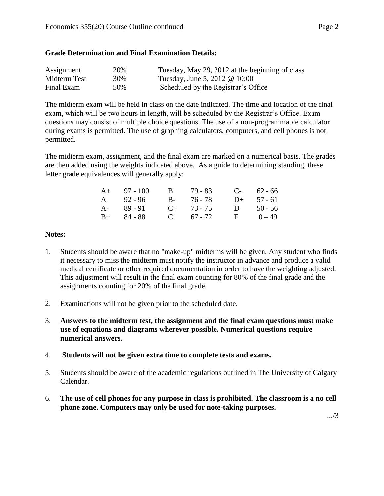### **Grade Determination and Final Examination Details:**

| Assignment   | 20% | Tuesday, May 29, 2012 at the beginning of class |
|--------------|-----|-------------------------------------------------|
| Midterm Test | 30% | Tuesday, June 5, 2012 @ 10:00                   |
| Final Exam   | 50% | Scheduled by the Registrar's Office             |

The midterm exam will be held in class on the date indicated. The time and location of the final exam, which will be two hours in length, will be scheduled by the Registrar's Office. Exam questions may consist of multiple choice questions. The use of a non-programmable calculator during exams is permitted. The use of graphing calculators, computers, and cell phones is not permitted.

The midterm exam, assignment, and the final exam are marked on a numerical basis. The grades are then added using the weights indicated above. As a guide to determining standing, these letter grade equivalences will generally apply:

| $A+ 97 - 100$ | B 79-83         | $C-$ 62 - 66 |
|---------------|-----------------|--------------|
| A $92 - 96$   | B- 76-78        | $D+ 57 - 61$ |
| $A - 89 - 91$ | $C_{+}$ 73 - 75 | D $50 - 56$  |
| $B+ 84 - 88$  | C $67 - 72$     | $F = 0 - 49$ |

### **Notes:**

- 1. Students should be aware that no "make-up" midterms will be given. Any student who finds it necessary to miss the midterm must notify the instructor in advance and produce a valid medical certificate or other required documentation in order to have the weighting adjusted. This adjustment will result in the final exam counting for 80% of the final grade and the assignments counting for 20% of the final grade.
- 2. Examinations will not be given prior to the scheduled date.
- 3. **Answers to the midterm test, the assignment and the final exam questions must make use of equations and diagrams wherever possible. Numerical questions require numerical answers.**
- 4. **Students will not be given extra time to complete tests and exams.**
- 5. Students should be aware of the academic regulations outlined in The University of Calgary Calendar.
- 6. **The use of cell phones for any purpose in class is prohibited. The classroom is a no cell phone zone. Computers may only be used for note-taking purposes.**

.../3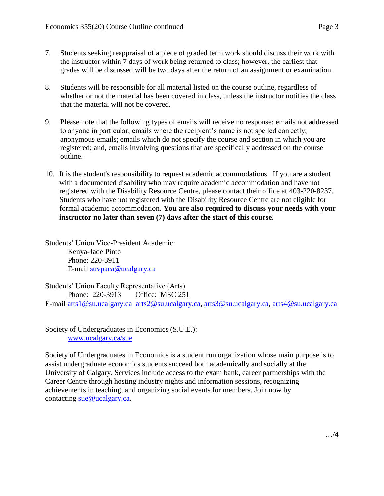- 7. Students seeking reappraisal of a piece of graded term work should discuss their work with the instructor within 7 days of work being returned to class; however, the earliest that grades will be discussed will be two days after the return of an assignment or examination.
- 8. Students will be responsible for all material listed on the course outline, regardless of whether or not the material has been covered in class, unless the instructor notifies the class that the material will not be covered.
- 9. Please note that the following types of emails will receive no response: emails not addressed to anyone in particular; emails where the recipient's name is not spelled correctly; anonymous emails; emails which do not specify the course and section in which you are registered; and, emails involving questions that are specifically addressed on the course outline.
- 10. It is the student's responsibility to request academic accommodations. If you are a student with a documented disability who may require academic accommodation and have not registered with the Disability Resource Centre, please contact their office at 403-220-8237. Students who have not registered with the Disability Resource Centre are not eligible for formal academic accommodation. **You are also required to discuss your needs with your instructor no later than seven (7) days after the start of this course.**

Students' Union Vice-President Academic: Kenya-Jade Pinto Phone: 220-3911 E-mail [suvpaca@ucalgary.ca](mailto:subpaca@ucalgary.ca)

Students' Union Faculty Representative (Arts) Phone: 220-3913 Office: MSC 251 E-mail [arts1@su.ucalgary.ca](mailto:arts1@su.ucalgary.ca) [arts2@su.ucalgary.ca,](mailto:arts2@su.ucalgary.ca) [arts3@su.ucalgary.ca,](mailto:arts3@su.ucalgary.ca) [arts4@su.ucalgary.ca](mailto:arts4@su.ucalgary.ca)

Society of Undergraduates in Economics (S.U.E.): [www.ucalgary.ca/sue](http://www.fp.ucalgary.ca/econ)

Society of Undergraduates in Economics is a student run organization whose main purpose is to assist undergraduate economics students succeed both academically and socially at the University of Calgary. Services include access to the exam bank, career partnerships with the Career Centre through hosting industry nights and information sessions, recognizing achievements in teaching, and organizing social events for members. Join now by contacting [sue@ucalgary.ca.](mailto:sue@ucalgary.ca)